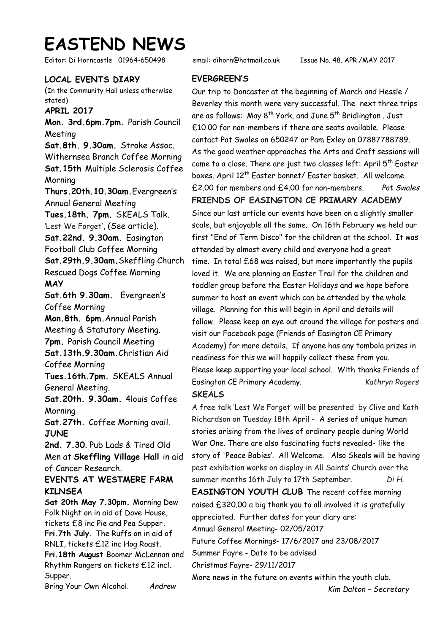# **EASTEND NEWS**

Editor: Di Horncastle 01964-650498 email: dihorn@hotmail.co.uk Issue No. 48. APR./MAY 2017

## **LOCAL EVENTS DIARY**

(In the Community Hall unless otherwise stated)

**APRIL 2017** 

**Mon. 3rd.6pm.7pm.** Parish Council Meeting **Sat.8th. 9.30am.** Stroke Assoc. Withernsea Branch Coffee Morning **Sat.15th** Multiple Sclerosis Coffee **Morning Thurs.20th.10.30am.**Evergreen's Annual General Meeting **Tues.18th. 7pm.** SKEALS Talk. 'Lest We Forget', (See article). **Sat.22nd. 9.30am.** Easington Football Club Coffee Morning **Sat.29th.9.30am.**Skeffling Church Rescued Dogs Coffee Morning **MAY Sat.6th 9.30am.** Evergreen's Coffee Morning **Mon.8th. 6pm.**Annual Parish Meeting & Statutory Meeting. **7pm.** Parish Council Meeting **Sat.13th.9.30am.**Christian Aid Coffee Morning **Tues.16th.7pm.** SKEALS Annual General Meeting. **Sat.20th. 9.30am.** 4louis Coffee Morning **Sat.27th.** Coffee Morning avail. **JUNE 2nd. 7.30**. Pub Lads & Tired Old Men at **Skeffling Village Hall** in aid of Cancer Research. **EVENTS AT WESTMERE FARM KILNSEA Sat 20th May 7.30pm.** Morning Dew Folk Night on in aid of Dove House, tickets £8 inc Pie and Pea Supper**. Fri.7th July.** The Ruffs on in aid of RNLI, tickets £12 inc Hog Roast. **Fri.18th August** Boomer McLennan and Rhythm Rangers on tickets £12 incl.

Supper. Bring Your Own Alcohol. *Andrew*

### **EVERGREEN'S**

Our trip to Doncaster at the beginning of March and Hessle / Beverley this month were very successful. The next three trips are as follows: May 8<sup>th</sup> York, and June 5<sup>th</sup> Bridlington . Just £10.00 for non-members if there are seats available. Please contact Pat Swales on 650247 or Pam Exley on 07887788789. As the good weather approaches the Arts and Craft sessions will come to a close. There are just two classes left: April  $5<sup>th</sup>$  Easter boxes. April 12<sup>th</sup> Easter bonnet/ Easter basket. All welcome. £2.00 for members and £4.00 for non-members. *Pat Swales*  **FRIENDS OF EASINGTON CE PRIMARY ACADEMY**

Since our last article our events have been on a slightly smaller scale, but enjoyable all the same. On 16th February we held our first "End of Term Disco" for the children at the school. It was attended by almost every child and everyone had a great time. In total £68 was raised, but more importantly the pupils loved it. We are planning an Easter Trail for the children and toddler group before the Easter Holidays and we hope before summer to host an event which can be attended by the whole village. Planning for this will begin in April and details will follow. Please keep an eye out around the village for posters and visit our Facebook page (Friends of Easington CE Primary Academy) for more details. If anyone has any tombola prizes in readiness for this we will happily collect these from you. Please keep supporting your local school. With thanks Friends of Easington CE Primary Academy. *Kathryn Rogers*  **SKEALS** 

A free talk 'Lest We Forget' will be presented by Clive and Kath Richardson on Tuesday 18th April - A series of unique human stories arising from the lives of ordinary people during World War One. There are also fascinating facts revealed- like the story of 'Peace Babies'. All Welcome. Also Skeals will be having past exhibition works on display in All Saints' Church over the summer months 16th July to 17th September. *Di H.* **EASINGTON YOUTH CLUB** The recent coffee morning raised £320.00 a big thank you to all involved it is gratefully appreciated. Further dates for your diary are:

Annual General Meeting- 02/05/2017

Future Coffee Mornings- 17/6/2017 and 23/08/2017

Summer Fayre - Date to be advised

Christmas Fayre- 29/11/2017

More news in the future on events within the youth club.

*Kim Dalton – Secretary*